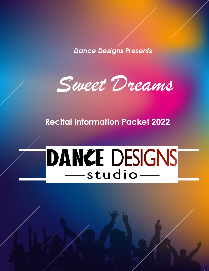*Dance Designs Presents*



### **Recital Information Packet 2022**

# DANKE DESIGNS -studio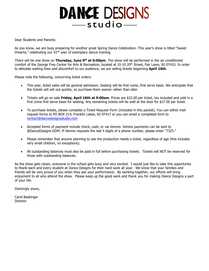## **DANCE DESIGNS** -studio-

Dear Students and Parents:

As you know, we are busy preparing for another great Spring Dance Celebration. This year's show is titled "Sweet Dreams," celebrating our 42nd year of exemplary dance training.

There will be one show on **Thursday, June 9<sup>th</sup> at 6:00pm**. The show will be performed in the air-conditioned comfort of the George Frey Center for Arts & Recreation, located at 10-10 20<sup>th</sup> Street, Fair Lawn, NJ 07410. In order to alleviate waiting lines and discomfort to our audience, we are selling tickets beginning **April 16th**.

Please note the following, concerning ticket orders:

- This year, ticket sales will be general admission. Seating will be first come, first serve basis. We anticipate that the tickets will sell out quickly, so purchase them sooner rather than later.
- Tickets will go on sale **Friday, April 16th at 9:00am**. Prices are \$22.00 per ticket, tax included and sold in a first come first serve basis for seating. Any remaining tickets will be sold at the door for \$27.00 per ticket.
- To purchase tickets, please complete a Ticket Request Form (included in this packet). You can either mail request forms to PO BOX 214, Franklin Lakes, NJ 07417 or you can email a completed form to [contact@dancedesignsstudio.com](mailto:contact@dancedesignsstudio.com)
- Accepted forms of payment include check, cash, or via Venmo. Venmo payments can be sent to @DanceDesigns-DDM. If Venmo requests the last 4 digits of a phone number, please enter "7325."
- Please remember that anyone planning to see the production needs a ticket, regardless of age (this includes very small children, no exceptions).
- All outstanding balances must also be paid in full before purchasing tickets. Tickets will NOT be reserved for those with outstanding balances.

As the show gets closer, everyone in the school gets busy and very excited. I would just like to take this opportunity to thank each and every student at Dance Designs for their hard work all year. We know that your families and friends will be very proud of you when they see your performance. By working together, our efforts will bring enjoyment to all who attend the show. Please keep up the good work and thank you for making Dance Designs a part of your life.

Dancingly yours,

Carol Baskinger **Director**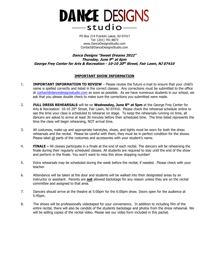

PO Box 214 Franklin Lakes, NJ 07417 Tel: (201) 791-8873 [www.DanceDesignsStudio.com](http://www.dancedesignsstudio.com/)  [Contact@DanceDesignsStudio.com](mailto:Contact@DanceDesignsStudio.com) 

**Dance Designs "Sweet Dreams 2022" Thursday, June 9 th at 6pm George Frey Center for Arts & Recreation - 10-10 20 th Street, Fair Lawn, NJ 07410** 

#### **IMPORTANT SHOW INFORMATION**

- 1. **IMPORTANT INFORMATION TO REVIEW** Please review the future e-mail to ensure that your child's name is spelled correctly and listed in the correct classes. Any corrections must be submitted to the office at [contact@dancedesignsstudio.com](mailto:contact@dancedesignsstudio.com) as soon as possible. As we have numerous students in our school, we ask that you please double check to make sure the corrections you submitted were made.
- 2. **FULL DRESS REHEARSALS** will be on **Wednesday, June 8th at 5pm** at the George Frey Center for Arts & Recreation- 10-10 20<sup>th</sup> Street, Fair Lawn, NJ 07410. Please check the rehearsal schedule online to see the time your class is scheduled to rehearse on stage. To keep the rehearsals running on time, all dancers are asked to arrive at least 30 minutes before their scheduled time. The time listed represents the time the class will begin rehearsing, NOT arrival time.
- 3. All costumes, make-up and appropriate hairstyles, shoes, and tights must be worn for both the dress rehearsals and the recital. Please be careful with them, they must be in perfect condition for the shows. Please label all parts of the costumes and accessories with your student's name.
- 4. **FINALE –** All classes participate in a finale at the end of each recital. The dancers will be rehearsing the finale during their regularly scheduled classes. All students are required to stay until the end of the show and perform in the finale. You won't want to miss this show stopping number!
- 5. Extra rehearsals may be scheduled during the week before the recital, if needed. Please check with your teacher.
- 6. Attendance will be taken at the door and students will be walked into their designated areas by an instructor or assistant. Parents are **not** allowed backstage for any reason unless they are on the recital committee and assigned to that area.
- 7. Dancers should arrive at the theatre at 5:00pm for the 6:00pm show. Doors open for the audience at 5:45pm.
- 8. The shows will be professionally videotaped for your convenience. In addition to including film of the entire recital, there will also be candids of the students backstage and photos from the dress rehearsal. We will be selling copies of the recital video. Please see our video form included in this packet.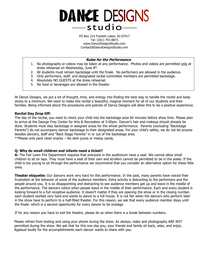### **DANCE DESIGNS**  $-$ studio $-$

PO Box 214 Franklin Lakes, NJ 07417 Tel: (201) 791-8873 [www.DanceDesignsStudio.com](http://www.dancedesignsstudio.com/)  [Contact@DanceDesignsStudio.com](mailto:Contact@DanceDesignsStudio.com) 

#### **Rules for the Performance**

- 1. No photographs or videos may be taken at any performance. Photos and videos are permitted only at dress rehearsal on Wednesday, June 8<sup>th</sup>.
- 2. All students must remain backstage until the finale. No performers are allowed in the audience.
- 3. Only performers, staff, and designated recital committee members are permitted backstage.
- 4. Absolutely NO GUESTS at the dress rehearsal.
- 5. No food or beverages are allowed in the theater.

At Dance Designs, we put a lot of thought, time, and energy into finding the best way to handle the recital and keep stress to a minimum. We want to make this recital a beautiful, magical moment for all of our students and their families. Being informed about the procedures and policies of Dance Designs will allow this to be a positive experience.

#### **Recital Day Drop Off:**

The day of the recital, you need to check your child into the backstage area 60 minutes before show time. Please plan to arrive at the George Frey Center for Arts & Recreation at 5:00pm. Dancer's hair and makeup should already be done. Students must stay backstage in assigned areas for the whole performance. Parents (excluding "Backstage Parents") do not accompany dancer backstage to their designated areas. For your child's safety, we do not let anyone besides dancers, staff and "Back Stage Parents" in or out of the backstage area. \*\*Please only pack clean snacks – No dark juices or messy candy.

#### **Q: Why do small children and infants need a ticket?**

**A:** The Fair Lawn Fire Department requires that everyone in the auditorium have a seat. We cannot allow small children to sit on laps. They must have a seat of their own and strollers cannot be permitted to be in the aisles. If the child is too young to sit through the performance we recommend that you consider an alternative option for these little ones.

**Theater etiquette:** Our dancers work very hard for this performance. In the past, many parents have voiced their frustration at the behavior of some of the audience members. Extra activity is distracting to the performers and the people around you. It is so disappointing and distracting to see audience members get up and leave in the middle of the performance. The dancers notice when people leave in the middle of their performance. Each and every student is looking forward to a full receptive audience. It doesn't matter if they are opening the show or in the closing number, each student worked very hard and wants to dance to a full house. It is not fair when the dancers who perform later in the show have to perform to a half-filled theater. For this reason, we ask that every audience member stays until the finale- which is a second opportunity for every dancer to be onstage.

If for any reason you have to exit the theatre, please do so when there is a break between numbers.

Please refrain from texting and using your phone during the show. As always, video and photography ARE NOT permitted during the show. We ask that for this one day you, your friends and family sit back, relax, and enjoy. Applaud loudly for the accomplishments each dancer wants to share with you.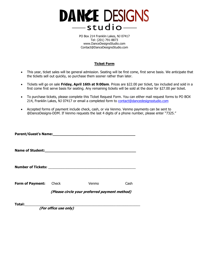

PO Box 214 Franklin Lakes, NJ 07417 Tel: (201) 791-8873 [www.DanceDesignsStudio.com](http://www.dancedesignsstudio.com/)  [Contact@DanceDesignsStudio.com](mailto:Contact@DanceDesignsStudio.com) 

#### **Ticket Form**

- This year, ticket sales will be general admission. Seating will be first come, first serve basis. We anticipate that the tickets sell out quickly, so purchase them sooner rather than later.
- Tickets will go on sale **Friday, April 16th at 9:00am**. Prices are \$22.00 per ticket, tax included and sold in a first come first serve basis for seating. Any remaining tickets will be sold at the door for \$27.00 per ticket.
- To purchase tickets, please complete this Ticket Request Form. You can either mail request forms to PO BOX 214, Franklin Lakes, NJ 07417 or email a completed form to [contact@dancedesignsstudio.com](mailto:contact@dancedesignsstudio.com)
- Accepted forms of payment include check, cash, or via Venmo. Venmo payments can be sent to @DanceDesigns-DDM. If Venmo requests the last 4 digits of a phone number, please enter "7325."

| Parent/Guest's Name:<br><u>Parent/Guest's Name:</u> |                                               |       |      |  |
|-----------------------------------------------------|-----------------------------------------------|-------|------|--|
|                                                     |                                               |       |      |  |
|                                                     |                                               |       |      |  |
| <b>Form of Payment:</b>                             | Check                                         | Venmo | Cash |  |
|                                                     | (Please circle your preferred payment method) |       |      |  |
| Total:                                              |                                               |       |      |  |

**(For office use only)**